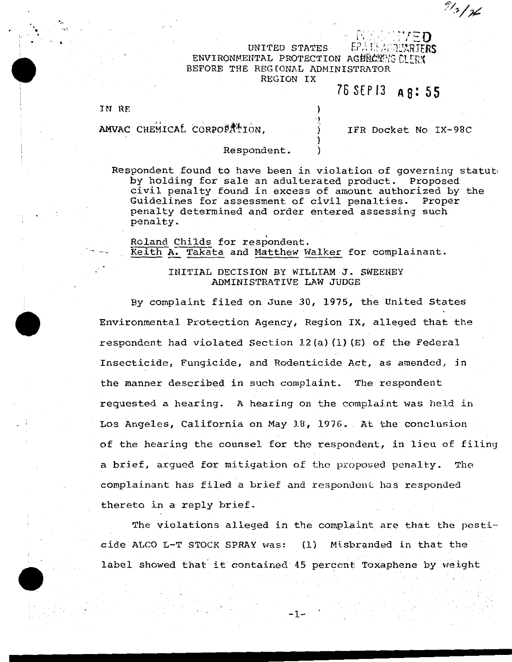## UNITED STATES  $E$ ?ALE:  $i$  is denoted ENVIRONMENTAL PROTECTION AGENCY TG CLEAR BEFORE THE REGIONAL ADMINISTRATOR REGION IX

) ')\_  $\sum_{i=1}^{n}$ ) )

## 76SEPI3 **A8:55**

IN RF.

 $\cdot$  .  $\cdot$   $\cdot$ 

AMVAC CHEMICAL CORPORATION.

IFR Docket No IX-98C

 $\mathbb{P}\mathbb{P}\mathbf{E}\mathbf{D}$  .

 $9/3/76$ 

## Respondent.

Respondent found to have been in violation of governing statute by holding for sale an adulterated product. Proposed civil penalty found in excess of amount authorized by the Guidelines for assessment of civil penalties. Proper penalty determined and order entered assessing such penalty.

Roland Childs for respondent. Keith A. Takata and Matthew Walker for complainant.

## INITIAL DECISION BY WILLIAM J. SWEENEY ADMINISTRATIVE LAW JUDGE

By complaint filed on June 30, 1975, the United States Environmental Protection Agency, Region IX, alleged that the respondent had violated Section  $12(a)$  (1)(E) of the Federal Insecticide, Fungicide, and Rodenticide Act, as amended, in the manner described in such complaint. The respondent requested a hearing. A hearing on the complaint was held in Los Angeles, California on May 18, 1976. At the conclusion of the hearing the counsel for the respondent, in lieu of filing a brief, argued for mitigation of the proposed penalty. The complainant has filed a brief and respondent has responded thereto in a reply brief.

The violations alleged in the complaint are that the pesticide ALCO L-T STOCK SPRAY was: (1) Misbranded in that the label showed that it contained 45 percent Toxaphene by weight

-1-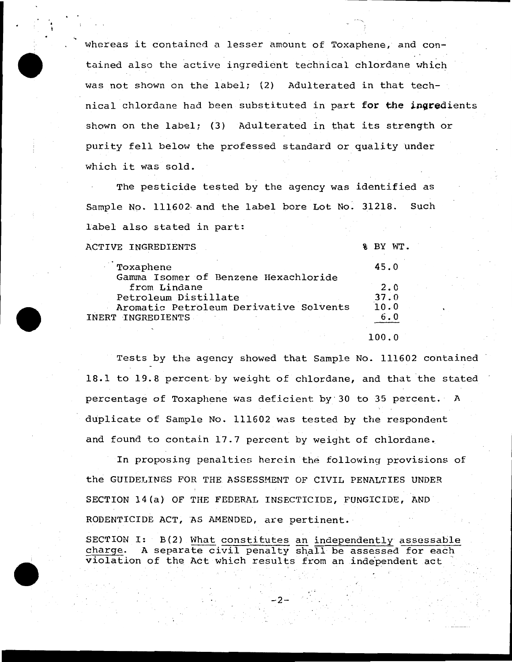whereas it contained a lesser amount of Toxaphene, and contained also the active ingredient technical chlordane which was not shown on the label; (2) Adulterated in that technical chlordane had been substituted in part for the ingredients shown on the label; (3) Adulterated in that its strength or purity fell below the professed standard or quality under which it was sold.

·-·,

BY WT.

The pesticide tested by the agency was identified as Sample No. 111602 and the label bore Lot No. 31218. Such label also stated in part:

ACTIVE INGREDIENTS

• t

| Toxaphene                              | 45.0   |
|----------------------------------------|--------|
| Gamma Isomer of Benzene Hexachloride   |        |
| from Lindane                           | 2.0    |
| Petroleum Distillate                   | 37.0   |
| Aromatic Petroleum Derivative Solvents | 10.0   |
| INERT INGREDIENTS                      |        |
|                                        | 100. O |

Tests by the agency showed that Sample No. 111602 contained 18.1 to 19.8 percent- by weight of chlordane, and that the stated percentage of Toxaphene was deficient by 30 to 35 percent. A duplicate of Sample No. 111602 was tested by the respondent and found to contain 17.7 percent by weight of chlordane.

In proposing penalties herein the following provisions of the GUIDELINES FOR THE ASSESSMENT OF CIVIL PENALTIES UNDER SECTION 14(a) OF THE FEDERAL INSECTICIDE, FUNGICIDE, AND RODENTICIDE ACT, AS AMENDED, are pertinent.

SECTION I: B(2) What constitutes an independently assessable charge. A separate civil penalty shall be assessed for each violation of the Act which results from an independent act

-2-

 $, \cdot \cdot$   $\cdot$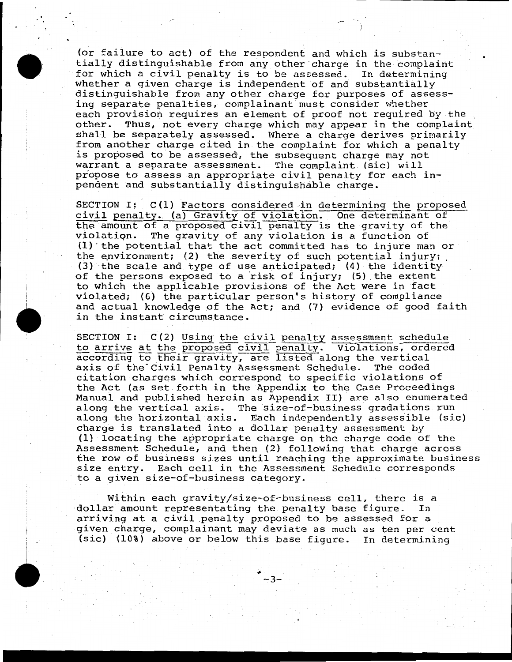(or failure to act} of the respondent and which is substantially distinguishable from any other charge in the complaint<br>for which a civil penalty is to be assessed. In determining for which a civil penalty is to be assessed. whether a given charge is independent of and substantially distinguishable from any other charge for purposes of assessing separate penalties, complainant must consider whether each provision requires an element of proof not required by the other. Thus, not every charge which may appear in the complaint shall be separately assessed. Where a charge derives primarily from another charge cited in the complaint for which a penalty is proposed to be assessed, the subsequent charge may not warrant a separate assessment. The complaint (sic) will propose to assess an appropriate civil penalty for each inpendent and substantially distinguishable charge.

..

SECTION I:  $C(1)$  Factors considered in determining the proposed civil penalty. (a) Gravity of violation. One determinant of the amount of a proposed civil penalty is the gravity of the violation. The gravity of any violation is a function of The gravity of any violation is a function of  $(1)$  the potential that the act committed has to injure man or the environment; (2) the severity of such potential injury;  $(3)$  the scale and type of use anticipated; (4) the identity of the persons exposed to a risk of injury; (5) the extent to which the applicable provisions of the Act were in fact violated; ' (6) the particular person's history of compliance and actual knowledge of the Act; and (7) evidence of good faith in the instant circumstance.

SECTION I: C(2) Using the civil penalty assessment schedule to arrive at the proposed civil penalty. Violations, ordered according to their gravity, are listed along the vertical axis of the Civil Penalty Assessment Schedule. The coded citation charges which correspond to specific violations of the Act (as set forth in the Appendix to the Case Proceedings Manual and published herein as Appendix II) are also enumerated along the vertical axis. The size-of-business gradations run along the horizontal axis. Each independently assessible (sic) charge is translated into a dollar penalty assessment by (1) locating the appropriate charge on the charge code of the Assessment Schedule, and then (2) following that charge across the row of business sizes until reaching the approximate business size entry. Each cell in the Assessment Schedule corresponds to a given size-of-business category.

Within each gravity/size-of-business cell, there is a<br>ir amount representating the penalty base figure. In dollar amount representating the penalty base figure. arriving at a civil penalty proposed to be assessed for a given charge, complainant may deviate as much as ten per cent (sic} (10%) above or below this base figure. In determining

-3-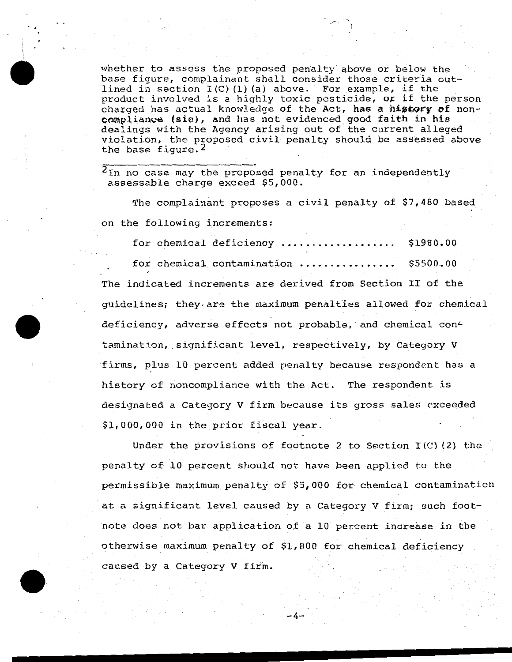whether to assess the proposed penalty above or below the base figure, complainant shall consider those criteria outlined in section  $I(C)$  (1) (a) above. For example, if the product involved is a highly toxic pesticide, or if the person charged has actual knowledge of the Act, has a history of non $compliance$  (sic), and has not evidenced good faith in his dealings with the Agency arising out of the current alleged violation, the proposed civil penalty should be assessed above the base figure.  $2$ 

2In no case may the proposed penalty for an independently assessable charge exceed \$5,000.

The complainant proposes a civil penalty of \$7,480 based on the following increments:

for chemical deficiency ................... \$1980.00 for chemical contamination ................. \$5500.00 The indicated increments are derived from Section II of the guidelines; they.are the maximum penalties allowed for chemical deficiency, adverse effects not probable, and chemical contamination, significant level, respectively, by Category V firms, plus 10 percent added penalty because respondent has a history of noncompliance with the Act. The respondent is designated a Category V firm because its gross sales exceeded \$1,000,000 in the prior fiscal year.

Under the provisions of footnote 2 to Section  $I(C)$  (2) the penalty of 10 percent should not have been applied to the permissible maximum penalty of \$5,000 for chemical contamination at a significant level caused by a Category V firm; such footnote does not bar application of a 10 percent increase in the otherwise maximum penalty of \$1, 800' for chemical deficiency caused by a Category V firm.

 $-4$ -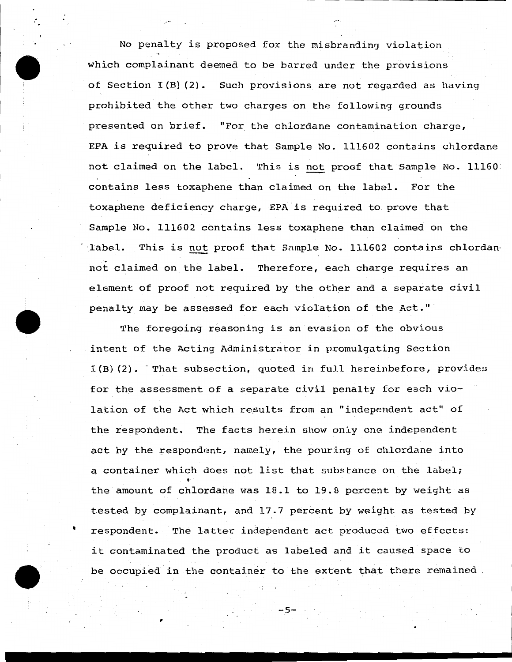No penalty is proposed for the misbranding violation which complainant deemed to be barred under the provisions of Section I(B) (2). Such provisions are not regarded as having prohibited the other two charges on the following grounds presented on brief. "For the chlordane contamination charge, EPA is required to prove that Sample No. 111602 contains chlordane not claimed on the label. This is not proof that Sample No. 11160. contains less toxaphene than claimed on the label. For the toxaphene deficiency charge, EPA is required to. prove that Sample No. 111602 contains less toxaphene than claimed on the Iabel. This is not proof that Sample No. 111602 contains chlordan not claimed on the label. Therefore, each charge requires an element of proof not required by the other and a separate civil penalty may be assessed for each violation of the Act."

..

The foregoing reasoning is an evasion of the obvious intent of the Acting Administrator in promulgating Section  $I(B)$  (2). That subsection, quoted in full hereinbefore, provides for the assessment of a separate civil penalty for each violation of the Act which results from an "independent act" of the respondent. The facts herein show only one independent act by the respondent, namely, the pouring of chlordane into a container which does not list that substance on the label; the amount of chlordane was  $18.1$  to  $19.8$  percent by weight as tested by complainant, and 17.7 percent by weight as tested by respondent. The latter independent act produced two effects: it contaminated the product as labeled and it caused space to be occupied in the container to the extent that there remained

 $\frac{1}{2}$  ,  $\frac{1}{2}$  ,  $\frac{1}{2}$  ,  $\frac{1}{2}$  ,  $\frac{1}{2}$  ,  $\frac{1}{2}$  ,  $\frac{1}{2}$  ,  $\frac{1}{2}$  ,  $\frac{1}{2}$  ,  $\frac{1}{2}$  ,  $\frac{1}{2}$  ,  $\frac{1}{2}$  ,  $\frac{1}{2}$  ,  $\frac{1}{2}$  ,  $\frac{1}{2}$  ,  $\frac{1}{2}$  ,  $\frac{1}{2}$  ,  $\frac{1}{2}$  ,  $\frac{1$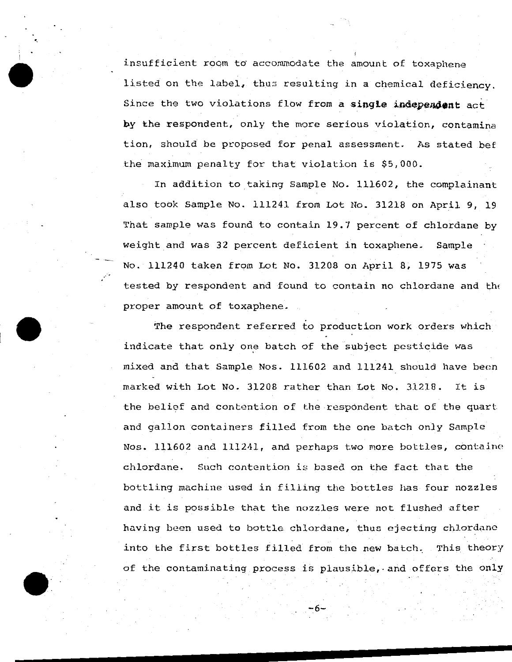insufficient room to accommodate the amount of toxaphene listed on the label, thus resulting in a chemical deficiency. Since the two violations flow from a single independent act by the respondent, only the more serious violation, contamina tion, should be proposed for penal assessment. As stated bef the maximum penalty for that violation is \$5,000.

·-

In addition to taking Sample No. 111602, the complainant also took Sample No. 111241 from Lot No. 31218 on April 9, 19 That sample was found to contain 19.7 percent of chlordane by weight and was 32 percent deficient in toxaphene. Sample No. lll240 taken from Lot No. 31208 on April 8, 1975 was tested by respondent and found to contain no chlordane and the proper amount of toxaphene.

The respondent referred to production work orders which indicate that only one batch of the subject pesticide was mixed and that Sample Nos. 111602 and 111241 should have been marked with Lot No. 31208 rather than Lot No. 31218. It is the belief and contention of the respondent that of the quart and gallon containers filled from the one batch only Sample Nos.  $111602$  and  $111241$ , and perhaps two more bottles, containe chlordane. Such contention is based on the fact that the bottling machine used in filling the bottles has four nozzles and it is possible that the nozzles were not flushed after having been used to bottle chlordane, thus ejecting chlordane into the first bottles filled from the new batch. This theory of the contaminating process is plausible,.and offers the only

-:6-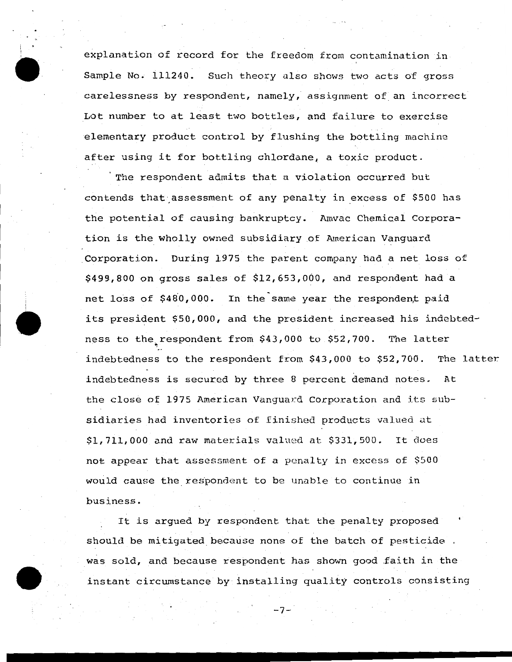explanation of record for the freedom from contamination in Sample No. 111240. Such theory also shows two acts of gross carelessness by respondent, namely, assignment of an incorrect Lot number to at least two bottles, and failure to exercise elementary product control by flushing the bottling machine after using it for bottling chlordane, a toxic product.

The respondent admits that a violation occurred but contends that assessment of any penalty in excess of \$500 has the potential of causing bankruptcy. Amvac Chemical Corporation is the wholly owned subsidiary of American Vanguard Corporation. During 1975 the parent company had a net loss of \$499,800 on gross sales of \$12,653,000, and respondent had a net loss of \$480,000. In the same year the respondent paid its president \$50,000, and the president increased his indebtedness to the respondent from \$43,000 to \$52,700. The latter indebtedness to the respondent from \$43,000 to \$52,700. The latter. indebtedness is secured by three 8 percent demand notes. At the close of 1975 American Vanguard Corporation and its subsidiaries had inventories of finished products valued ut \$1,711,000 and raw materials valued at \$331,500. It does not appear that assessment of a penalty in excess of \$500 would cause the respondent to be unable to continue in business.

It is argued by respondent that the penalty proposed should be mitigated because none of the batch of pesticide . was sold, and because respondent has shown good faith in the instant circumstance by installing quality controls consisting

-7-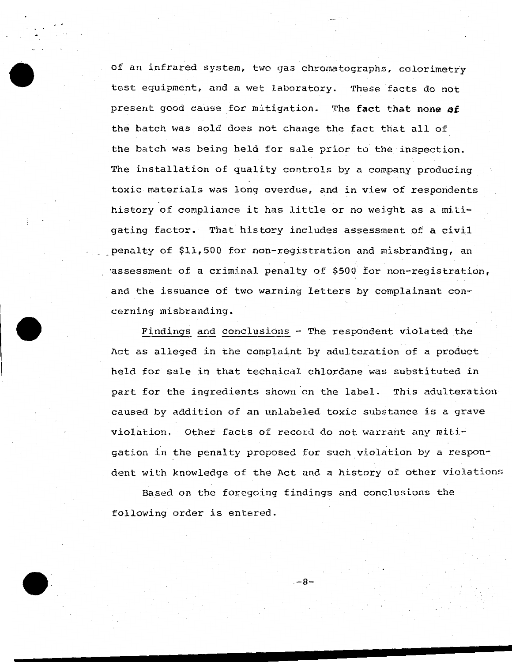of an infrared system, two gas chromatographs, colorimetry test equipment, and a wet laboratory. These facts do not present good cause for mitigation. The fact that none of the batch was sold does not change the fact that all of the batch was being held for sale prior to the inspection. The installation of quality controls by a company producing toxic materials was long overdue, and in view of respondents history of compliance it has little or no weight as a mitigating factor. That history includes assessment of a civil penalty of \$11,500 for non-registration and misbranding, an -assessment of a criminal penalty of \$500 £or non-registration, and the issuance of two warning letters by complainant concerning misbranding.

. .

Findings and conclusions - The respondent violated the Act as alleged in the complaint by adulteration of a product held for sale in that technical chlordane was substituted in part for the ingredients shown on the label. This adulteration caused by addition of an unlabeled toxic substance is a grave violation. Other facts of record do not warrant any mitigation in the penalty proposed for such violation by a respondent with knowledge of the Act and a history of other violations

Based on the foregoing findings and conclusions the following order is entered.

-8-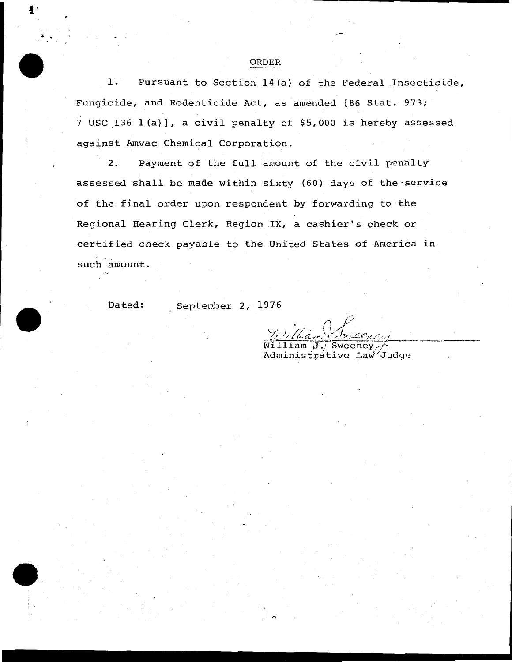1. Pursuant to Section 14(a) of the Federal Insecticide, Fungicide, and Rodenticide Act, as amended [86 Stat. 973; 7 USC \_136 l(a)], a civil penalty of \$5,000 is hereby assessed against Amvac Chemical Corporation.

2. Payment of the full amount of the civil penalty assessed shall be made within sixty (60) days of the·service of the final order upon respondent by forwarding to the Regional Hearing Clerk, Region .IX, a cashier's check or certified check payable to the United States of America in such amount.

Dated: September 2, 1976

iam J./ Sweeney, Administrative Law Judge